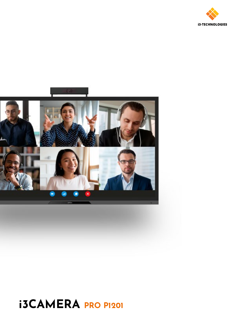



# **i3CAMERA PRO P1201**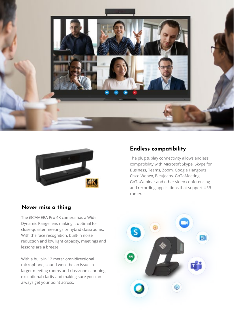



## **Never miss a thing**

The i3CAMERA Pro 4K camera has a Wide Dynamic Range lens making it optimal for close-quarter meetings or hybrid classrooms. With the face recognition, built-in noise reduction and low light capacity, meetings and lessons are a breeze.

With a built-in 12 meter omnidirectional microphone, sound won't be an issue in larger meeting rooms and classrooms, brining exceptional clarity and making sure you can always get your point across.

## **Endless compatibility**

The plug & play connectivity allows endless compatibility with Microsoft Skype, Skype for Business, Teams, Zoom, Google Hangouts, Cisco Webex, Bleujeans, GoToMeeting, GoToWebinar and other video conferencing and recording applications that support USB cameras.

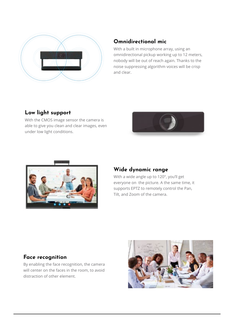

## **Omnidirectional mic**

With a built in microphone array, using an omnidirectional pickup working up to 12 meters, nobody will be out of reach again. Thanks to the noise suppressing algorithm voices will be crisp and clear.

# **Low light support**

With the CMOS image sensor the camera is able to give you clean and clear images, even under low light conditions.





## **Wide dynamic range**

With a wide angle up to 120°, you'll get everyone on the picture. A the same time, it supports EPTZ to remotely control the Pan, Tilt, and Zoom of the camera.

## **Face recognition**

By enabling the face recognition, the camera will center on the faces in the room, to avoid distraction of other element.